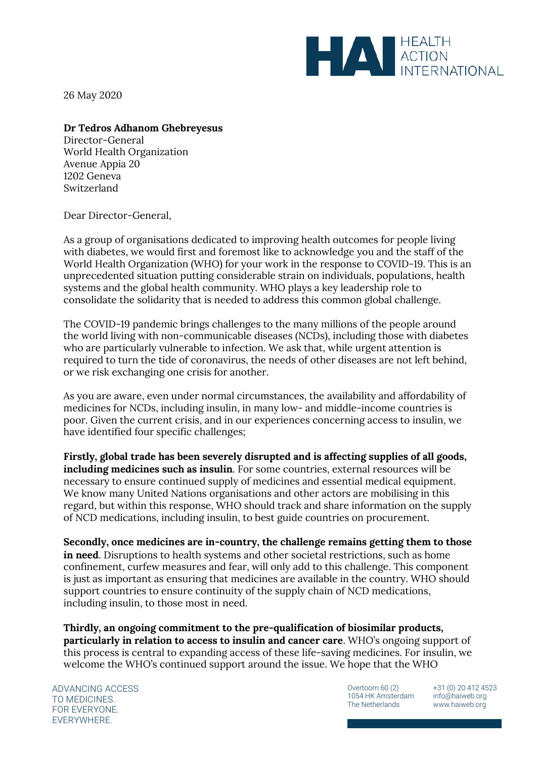

26 May 2020

## **Dr Tedros Adhanom Ghebreyesus**

Director-General World Health Organization Avenue Appia 20 1202 Geneva Switzerland

Dear Director-General,

As a group of organisations dedicated to improving health outcomes for people living with diabetes, we would first and foremost like to acknowledge you and the staff of the World Health Organization (WHO) for your work in the response to COVID-19. This is an unprecedented situation putting considerable strain on individuals, populations, health systems and the global health community. WHO plays a key leadership role to consolidate the solidarity that is needed to address this common global challenge.

The COVID-19 pandemic brings challenges to the many millions of the people around the world living with non-communicable diseases (NCDs), including those with diabetes who are particularly vulnerable to infection. We ask that, while urgent attention is required to turn the tide of coronavirus, the needs of other diseases are not left behind, or we risk exchanging one crisis for another.

As you are aware, even under normal circumstances, the availability and affordability of medicines for NCDs, including insulin, in many low- and middle-income countries is poor. Given the current crisis, and in our experiences concerning access to insulin, we have identified four specific challenges;

**Firstly, global trade has been severely disrupted and is affecting supplies of all goods, including medicines such as insulin**. For some countries, external resources will be necessary to ensure continued supply of medicines and essential medical equipment. We know many United Nations organisations and other actors are mobilising in this regard, but within this response, WHO should track and share information on the supply of NCD medications, including insulin, to best guide countries on procurement.

**Secondly, once medicines are in-country, the challenge remains getting them to those in need**. Disruptions to health systems and other societal restrictions, such as home confinement, curfew measures and fear, will only add to this challenge. This component is just as important as ensuring that medicines are available in the country. WHO should support countries to ensure continuity of the supply chain of NCD medications, including insulin, to those most in need.

**Thirdly, an ongoing commitment to the pre-qualification of biosimilar products, particularly in relation to access to insulin and cancer care**. WHO's ongoing support of this process is central to expanding access of these life-saving medicines. For insulin, we welcome the WHO's continued support around the issue. We hope that the WHO

ADVANCING ACCESS TO MEDICINES. FOR EVERYONE. EVERYWHERE.

Overtoom 60 (2) 1054 HK Amsterdam The Netherlands

+31 (0) 20 412 4523 info@haiweb.org www.haiweb.org